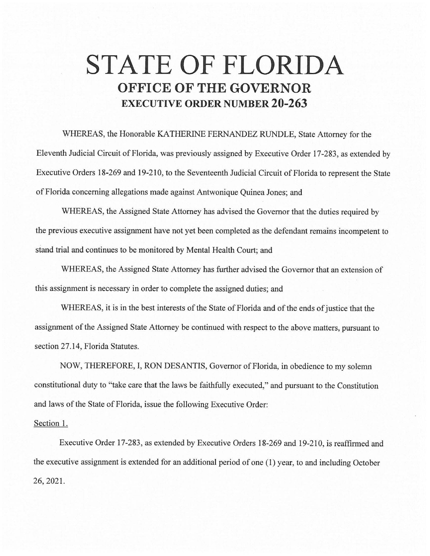## **STATE OF FLORIDA OFFICE OF THE GOVERNOR EXECUTIVE ORDER NUMBER 20-263**

WHEREAS, the Honorable KATHERINE FERNANDEZ RUNDLE, State Attorney for the Eleventh Judicial Circuit of Florida, was previously assigned by Executive Order 17-283, as extended by Executive Orders 18-269 and 19-210, to the Seventeenth Judicial Circuit of Florida to represent the State of Florida concerning allegations made against Antwonique Quinea Jones; and

WHEREAS, the Assigned State Attorney has advised the Governor that the duties required by the previous executive assignment have not yet been completed as the defendant remains incompetent to stand trial and continues to be monitored by Mental Health Court; and

WHEREAS, the Assigned State Attorney has further advised the Governor that an extension of this assignment is necessary in order to complete the assigned duties; and

WHEREAS, it is in the best interests of the State of Florida and of the ends of justice that the assignment of the Assigned State Attorney be continued with respect to the above matters, pursuant to section 27.14, Florida Statutes.

NOW, THEREFORE, I, RON DESANTIS, Governor of Florida, in obedience to my solemn constitutional duty to "take care that the laws be faithfully executed," and pursuant to the Constitution and laws of the State of Florida, issue the following Executive Order:

## Section 1.

Executive Order 17-283, as extended by Executive Orders 18-269 and 19-210, is reaffirmed and the executive assignment is extended for an additional period of one (1) year, to and including October 26, 2021.